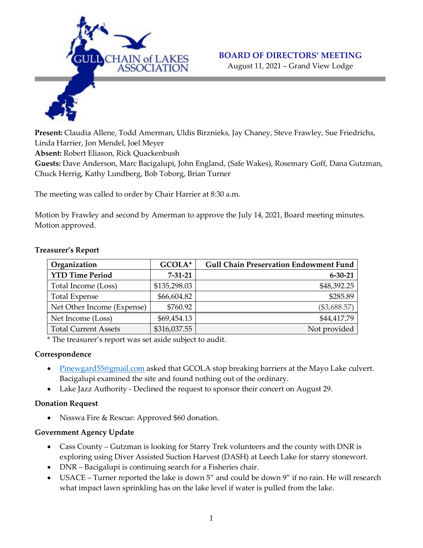

#### **BOARD OF DIRECTORS' MEETING**

August 11, 2021 – Grand View Lodge

**Present:** Claudia Allene, Todd Amerman, Uldis Birznieks, Jay Chaney, Steve Frawley, Sue Friedrichs, Linda Harrier, Jon Mendel, Joel Meyer

**Absent:** Robert Eliason, Rick Quackenbush

**Guests:** Dave Anderson, Marc Bacigalupi, John England, (Safe Wakes), Rosemary Goff, Dana Gutzman, Chuck Herrig, Kathy Lundberg, Bob Toborg, Brian Turner

The meeting was called to order by Chair Harrier at 8:30 a.m.

Motion by Frawley and second by Amerman to approve the July 14, 2021, Board meeting minutes. Motion approved.

| Organization                | GCOLA*        | <b>Gull Chain Preservation Endowment Fund</b> |
|-----------------------------|---------------|-----------------------------------------------|
| <b>YTD Time Period</b>      | $7 - 31 - 21$ | $6 - 30 - 21$                                 |
| Total Income (Loss)         | \$135,298.03  | \$48,392.25                                   |
| <b>Total Expense</b>        | \$66,604.82   | \$285.89                                      |
| Net Other Income (Expense)  | \$760.92      | $(\$3,688.57)$                                |
| Net Income (Loss)           | \$69,454.13   | \$44,417.79                                   |
| <b>Total Current Assets</b> | \$316,037.55  | Not provided                                  |

#### **Treasurer's Report**

\* The treasurer's report was set aside subject to audit.

#### **Correspondence**

- [Pinewgard55@gmail.com](mailto:Pinewgard55@gmail.com) asked that GCOLA stop breaking barriers at the Mayo Lake culvert. Bacigalupi examined the site and found nothing out of the ordinary.
- Lake Jazz Authority Declined the request to sponsor their concert on August 29.

#### **Donation Request**

Nisswa Fire & Rescue: Approved \$60 donation.

## **Government Agency Update**

- Cass County Gutzman is looking for Starry Trek volunteers and the county with DNR is exploring using Diver Assisted Suction Harvest (DASH) at Leech Lake for starry stonewort.
- DNR Bacigalupi is continuing search for a Fisheries chair.
- USACE Turner reported the lake is down 5" and could be down 9" if no rain. He will research what impact lawn sprinkling has on the lake level if water is pulled from the lake.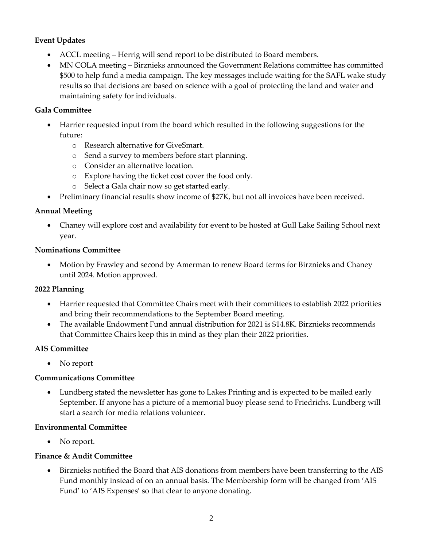# **Event Updates**

- ACCL meeting Herrig will send report to be distributed to Board members.
- MN COLA meeting Birznieks announced the Government Relations committee has committed \$500 to help fund a media campaign. The key messages include waiting for the SAFL wake study results so that decisions are based on science with a goal of protecting the land and water and maintaining safety for individuals.

## **Gala Committee**

- Harrier requested input from the board which resulted in the following suggestions for the future:
	- o Research alternative for GiveSmart.
	- o Send a survey to members before start planning.
	- o Consider an alternative location.
	- o Explore having the ticket cost cover the food only.
	- o Select a Gala chair now so get started early.
- Preliminary financial results show income of \$27K, but not all invoices have been received.

## **Annual Meeting**

 Chaney will explore cost and availability for event to be hosted at Gull Lake Sailing School next year.

## **Nominations Committee**

 Motion by Frawley and second by Amerman to renew Board terms for Birznieks and Chaney until 2024. Motion approved.

## **2022 Planning**

- Harrier requested that Committee Chairs meet with their committees to establish 2022 priorities and bring their recommendations to the September Board meeting.
- The available Endowment Fund annual distribution for 2021 is \$14.8K. Birznieks recommends that Committee Chairs keep this in mind as they plan their 2022 priorities.

# **AIS Committee**

• No report

## **Communications Committee**

 Lundberg stated the newsletter has gone to Lakes Printing and is expected to be mailed early September. If anyone has a picture of a memorial buoy please send to Friedrichs. Lundberg will start a search for media relations volunteer.

## **Environmental Committee**

• No report.

## **Finance & Audit Committee**

 Birznieks notified the Board that AIS donations from members have been transferring to the AIS Fund monthly instead of on an annual basis. The Membership form will be changed from 'AIS Fund' to 'AIS Expenses' so that clear to anyone donating.